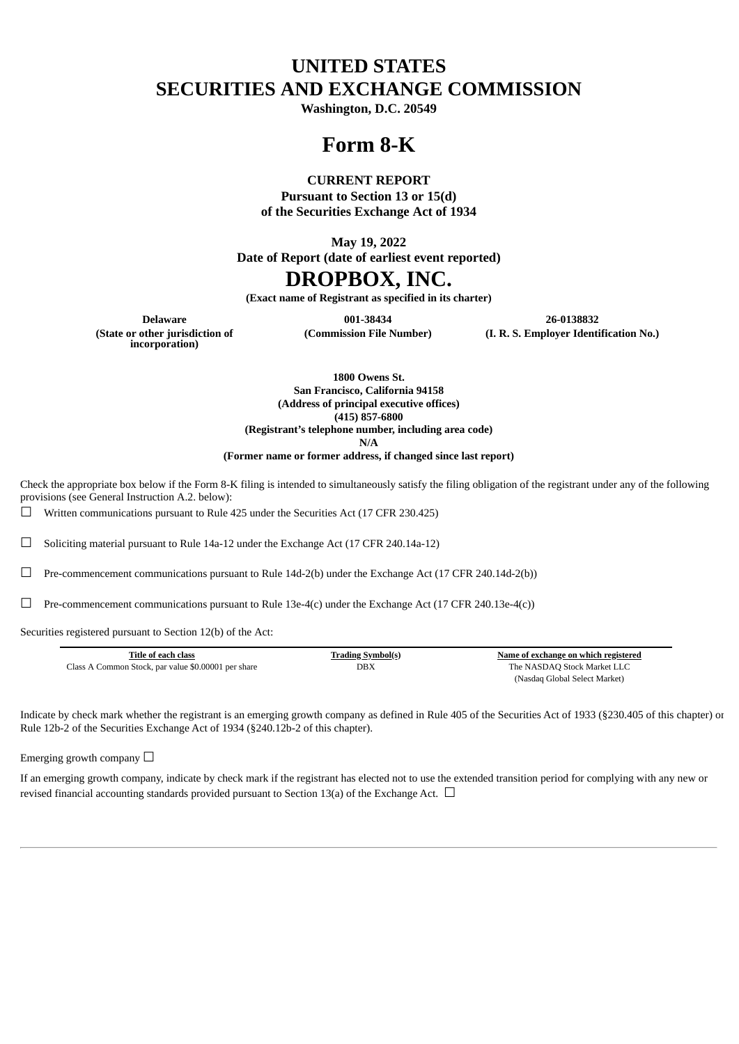# **UNITED STATES SECURITIES AND EXCHANGE COMMISSION**

**Washington, D.C. 20549**

## **Form 8-K**

### **CURRENT REPORT**

**Pursuant to Section 13 or 15(d) of the Securities Exchange Act of 1934**

**May 19, 2022**

**Date of Report (date of earliest event reported)**

## **DROPBOX, INC.**

**(Exact name of Registrant as specified in its charter)**

**Delaware 001-38434 26-0138832 (Commission File Number) (I. R. S. Employer Identification No.)**

**(State or other jurisdiction of incorporation)**

**1800 Owens St. San Francisco, California 94158 (Address of principal executive offices) (415) 857-6800 (Registrant's telephone number, including area code)**

**N/A**

**(Former name or former address, if changed since last report)**

Check the appropriate box below if the Form 8-K filing is intended to simultaneously satisfy the filing obligation of the registrant under any of the following provisions (see General Instruction A.2. below):

 $\Box$  Written communications pursuant to Rule 425 under the Securities Act (17 CFR 230.425)

☐ Soliciting material pursuant to Rule 14a-12 under the Exchange Act (17 CFR 240.14a-12)

 $\Box$  Pre-commencement communications pursuant to Rule 14d-2(b) under the Exchange Act (17 CFR 240.14d-2(b))

 $\Box$  Pre-commencement communications pursuant to Rule 13e-4(c) under the Exchange Act (17 CFR 240.13e-4(c))

Securities registered pursuant to Section 12(b) of the Act:

| Title of each class                                 | <b>Trading Symbol(s)</b> | Name of exchange on which registered |
|-----------------------------------------------------|--------------------------|--------------------------------------|
| Class A Common Stock, par value \$0.00001 per share | DBX                      | The NASDAO Stock Market LLC          |
|                                                     |                          | (Nasdaq Global Select Market)        |

Indicate by check mark whether the registrant is an emerging growth company as defined in Rule 405 of the Securities Act of 1933 (§230.405 of this chapter) or Rule 12b-2 of the Securities Exchange Act of 1934 (§240.12b-2 of this chapter).

Emerging growth company  $\Box$ 

If an emerging growth company, indicate by check mark if the registrant has elected not to use the extended transition period for complying with any new or revised financial accounting standards provided pursuant to Section 13(a) of the Exchange Act.  $\Box$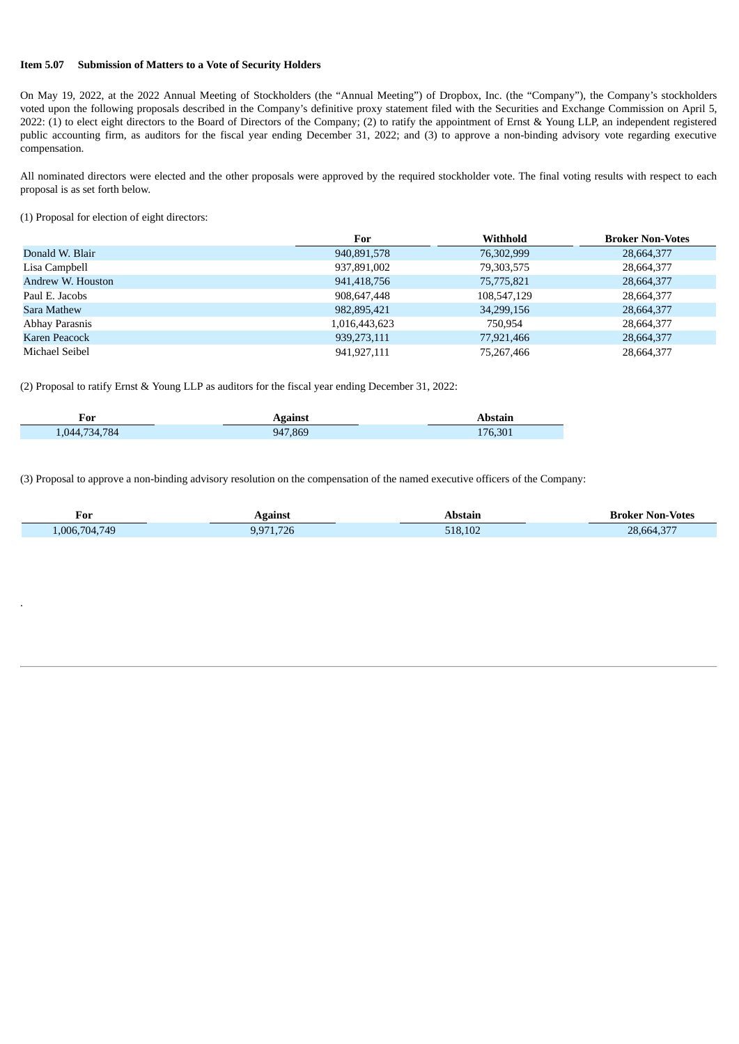#### **Item 5.07 Submission of Matters to a Vote of Security Holders**

On May 19, 2022, at the 2022 Annual Meeting of Stockholders (the "Annual Meeting") of Dropbox, Inc. (the "Company"), the Company's stockholders voted upon the following proposals described in the Company's definitive proxy statement filed with the Securities and Exchange Commission on April 5, 2022: (1) to elect eight directors to the Board of Directors of the Company; (2) to ratify the appointment of Ernst & Young LLP, an independent registered public accounting firm, as auditors for the fiscal year ending December 31, 2022; and (3) to approve a non-binding advisory vote regarding executive compensation.

All nominated directors were elected and the other proposals were approved by the required stockholder vote. The final voting results with respect to each proposal is as set forth below.

(1) Proposal for election of eight directors:

.

Т

|                   | For           | Withhold    | <b>Broker Non-Votes</b> |
|-------------------|---------------|-------------|-------------------------|
| Donald W. Blair   | 940,891,578   | 76,302,999  | 28,664,377              |
| Lisa Campbell     | 937,891,002   | 79,303,575  | 28,664,377              |
| Andrew W. Houston | 941,418,756   | 75,775,821  | 28,664,377              |
| Paul E. Jacobs    | 908,647,448   | 108,547,129 | 28,664,377              |
| Sara Mathew       | 982,895,421   | 34,299,156  | 28,664,377              |
| Abhay Parasnis    | 1,016,443,623 | 750.954     | 28,664,377              |
| Karen Peacock     | 939,273,111   | 77,921,466  | 28,664,377              |
| Michael Seibel    | 941,927,111   | 75,267,466  | 28,664,377              |

(2) Proposal to ratify Ernst & Young LLP as auditors for the fiscal year ending December 31, 2022:

| ┳<br>For    | aainet  |                    |
|-------------|---------|--------------------|
| 044.734.784 | 947,869 | 76,301<br><b>L</b> |

(3) Proposal to approve a non-binding advisory resolution on the compensation of the named executive officers of the Company:

| For           | Against                | Abstain | <b>Broker Non-Votes</b> |
|---------------|------------------------|---------|-------------------------|
| 1,006,704,749 | 700<br>9,971<br>71.726 | 518.102 | 28,664,377              |